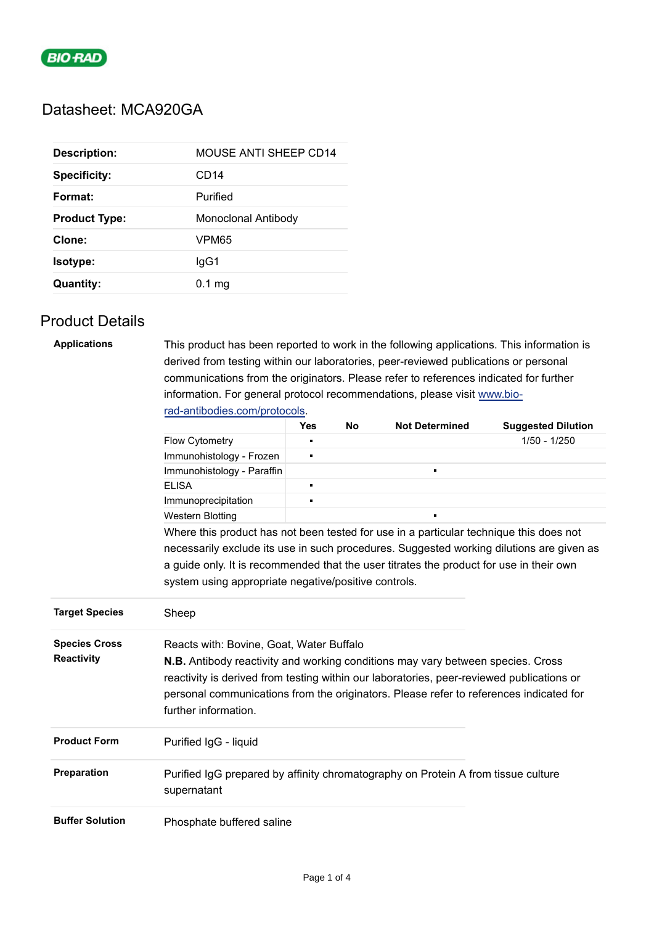

## Datasheet: MCA920GA

| <b>Description:</b>  | <b>MOUSE ANTI SHEEP CD14</b> |
|----------------------|------------------------------|
| <b>Specificity:</b>  | CD <sub>14</sub>             |
| Format:              | Purified                     |
| <b>Product Type:</b> | Monoclonal Antibody          |
| Clone:               | VPM65                        |
| <b>Isotype:</b>      | lgG1                         |
| <b>Quantity:</b>     | $0.1 \,\mathrm{mg}$          |

# Product Details

| <b>Applications</b>    |                                                                                                                                                                                                                                                                                                       | This product has been reported to work in the following applications. This information is<br>derived from testing within our laboratories, peer-reviewed publications or personal<br>communications from the originators. Please refer to references indicated for further |           |                       |                           |  |  |
|------------------------|-------------------------------------------------------------------------------------------------------------------------------------------------------------------------------------------------------------------------------------------------------------------------------------------------------|----------------------------------------------------------------------------------------------------------------------------------------------------------------------------------------------------------------------------------------------------------------------------|-----------|-----------------------|---------------------------|--|--|
|                        | information. For general protocol recommendations, please visit www.bio-                                                                                                                                                                                                                              |                                                                                                                                                                                                                                                                            |           |                       |                           |  |  |
|                        | rad-antibodies.com/protocols.                                                                                                                                                                                                                                                                         |                                                                                                                                                                                                                                                                            |           |                       |                           |  |  |
|                        |                                                                                                                                                                                                                                                                                                       | <b>Yes</b>                                                                                                                                                                                                                                                                 | <b>No</b> | <b>Not Determined</b> | <b>Suggested Dilution</b> |  |  |
|                        | Flow Cytometry                                                                                                                                                                                                                                                                                        | $\blacksquare$                                                                                                                                                                                                                                                             |           |                       | $1/50 - 1/250$            |  |  |
|                        | Immunohistology - Frozen                                                                                                                                                                                                                                                                              | $\blacksquare$                                                                                                                                                                                                                                                             |           |                       |                           |  |  |
|                        | Immunohistology - Paraffin                                                                                                                                                                                                                                                                            |                                                                                                                                                                                                                                                                            |           |                       |                           |  |  |
|                        | <b>ELISA</b>                                                                                                                                                                                                                                                                                          | $\blacksquare$                                                                                                                                                                                                                                                             |           |                       |                           |  |  |
|                        | Immunoprecipitation                                                                                                                                                                                                                                                                                   | $\blacksquare$                                                                                                                                                                                                                                                             |           |                       |                           |  |  |
|                        | <b>Western Blotting</b>                                                                                                                                                                                                                                                                               |                                                                                                                                                                                                                                                                            |           |                       |                           |  |  |
|                        | Where this product has not been tested for use in a particular technique this does not                                                                                                                                                                                                                |                                                                                                                                                                                                                                                                            |           |                       |                           |  |  |
|                        | necessarily exclude its use in such procedures. Suggested working dilutions are given as<br>a guide only. It is recommended that the user titrates the product for use in their own                                                                                                                   |                                                                                                                                                                                                                                                                            |           |                       |                           |  |  |
|                        |                                                                                                                                                                                                                                                                                                       |                                                                                                                                                                                                                                                                            |           |                       |                           |  |  |
|                        | system using appropriate negative/positive controls.                                                                                                                                                                                                                                                  |                                                                                                                                                                                                                                                                            |           |                       |                           |  |  |
| <b>Target Species</b>  | Sheep                                                                                                                                                                                                                                                                                                 |                                                                                                                                                                                                                                                                            |           |                       |                           |  |  |
| <b>Species Cross</b>   | Reacts with: Bovine, Goat, Water Buffalo                                                                                                                                                                                                                                                              |                                                                                                                                                                                                                                                                            |           |                       |                           |  |  |
| <b>Reactivity</b>      | <b>N.B.</b> Antibody reactivity and working conditions may vary between species. Cross<br>reactivity is derived from testing within our laboratories, peer-reviewed publications or<br>personal communications from the originators. Please refer to references indicated for<br>further information. |                                                                                                                                                                                                                                                                            |           |                       |                           |  |  |
| <b>Product Form</b>    | Purified IgG - liquid                                                                                                                                                                                                                                                                                 |                                                                                                                                                                                                                                                                            |           |                       |                           |  |  |
| Preparation            | Purified IgG prepared by affinity chromatography on Protein A from tissue culture<br>supernatant                                                                                                                                                                                                      |                                                                                                                                                                                                                                                                            |           |                       |                           |  |  |
| <b>Buffer Solution</b> | Phosphate buffered saline                                                                                                                                                                                                                                                                             |                                                                                                                                                                                                                                                                            |           |                       |                           |  |  |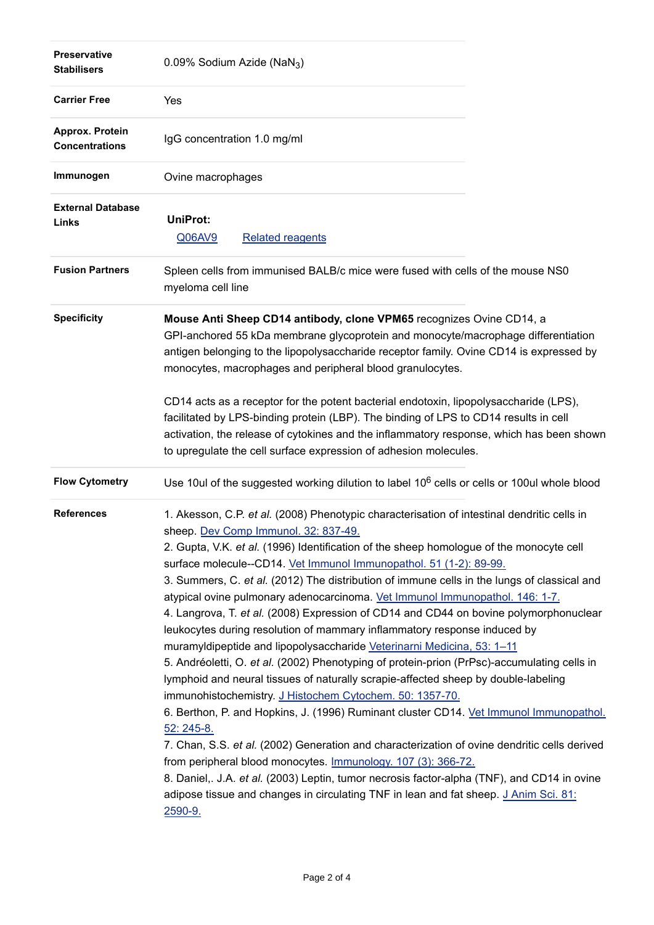| <b>Preservative</b><br><b>Stabilisers</b> | 0.09% Sodium Azide (NaN <sub>3</sub> )                                                                                                                                                                                                                                                                                                                                                                                                                                                                                                                                                                                                                                                                                                                                                                                                                                                                                                                                                                                                                                                                                                                                                                                                                                                                                                                                                                                                                         |
|-------------------------------------------|----------------------------------------------------------------------------------------------------------------------------------------------------------------------------------------------------------------------------------------------------------------------------------------------------------------------------------------------------------------------------------------------------------------------------------------------------------------------------------------------------------------------------------------------------------------------------------------------------------------------------------------------------------------------------------------------------------------------------------------------------------------------------------------------------------------------------------------------------------------------------------------------------------------------------------------------------------------------------------------------------------------------------------------------------------------------------------------------------------------------------------------------------------------------------------------------------------------------------------------------------------------------------------------------------------------------------------------------------------------------------------------------------------------------------------------------------------------|
| <b>Carrier Free</b>                       | Yes                                                                                                                                                                                                                                                                                                                                                                                                                                                                                                                                                                                                                                                                                                                                                                                                                                                                                                                                                                                                                                                                                                                                                                                                                                                                                                                                                                                                                                                            |
| Approx. Protein<br><b>Concentrations</b>  | IgG concentration 1.0 mg/ml                                                                                                                                                                                                                                                                                                                                                                                                                                                                                                                                                                                                                                                                                                                                                                                                                                                                                                                                                                                                                                                                                                                                                                                                                                                                                                                                                                                                                                    |
| Immunogen                                 | Ovine macrophages                                                                                                                                                                                                                                                                                                                                                                                                                                                                                                                                                                                                                                                                                                                                                                                                                                                                                                                                                                                                                                                                                                                                                                                                                                                                                                                                                                                                                                              |
| <b>External Database</b><br>Links         | <b>UniProt:</b><br><b>Related reagents</b><br>Q06AV9                                                                                                                                                                                                                                                                                                                                                                                                                                                                                                                                                                                                                                                                                                                                                                                                                                                                                                                                                                                                                                                                                                                                                                                                                                                                                                                                                                                                           |
| <b>Fusion Partners</b>                    | Spleen cells from immunised BALB/c mice were fused with cells of the mouse NS0<br>myeloma cell line                                                                                                                                                                                                                                                                                                                                                                                                                                                                                                                                                                                                                                                                                                                                                                                                                                                                                                                                                                                                                                                                                                                                                                                                                                                                                                                                                            |
| <b>Specificity</b>                        | Mouse Anti Sheep CD14 antibody, clone VPM65 recognizes Ovine CD14, a<br>GPI-anchored 55 kDa membrane glycoprotein and monocyte/macrophage differentiation<br>antigen belonging to the lipopolysaccharide receptor family. Ovine CD14 is expressed by<br>monocytes, macrophages and peripheral blood granulocytes.<br>CD14 acts as a receptor for the potent bacterial endotoxin, lipopolysaccharide (LPS),                                                                                                                                                                                                                                                                                                                                                                                                                                                                                                                                                                                                                                                                                                                                                                                                                                                                                                                                                                                                                                                     |
|                                           | facilitated by LPS-binding protein (LBP). The binding of LPS to CD14 results in cell<br>activation, the release of cytokines and the inflammatory response, which has been shown<br>to upregulate the cell surface expression of adhesion molecules.                                                                                                                                                                                                                                                                                                                                                                                                                                                                                                                                                                                                                                                                                                                                                                                                                                                                                                                                                                                                                                                                                                                                                                                                           |
| <b>Flow Cytometry</b>                     | Use 10ul of the suggested working dilution to label $10^6$ cells or cells or 100ul whole blood                                                                                                                                                                                                                                                                                                                                                                                                                                                                                                                                                                                                                                                                                                                                                                                                                                                                                                                                                                                                                                                                                                                                                                                                                                                                                                                                                                 |
| <b>References</b>                         | 1. Akesson, C.P. et al. (2008) Phenotypic characterisation of intestinal dendritic cells in<br>sheep. Dev Comp Immunol. 32: 837-49.<br>2. Gupta, V.K. et al. (1996) Identification of the sheep homologue of the monocyte cell<br>surface molecule--CD14. Vet Immunol Immunopathol. 51 (1-2): 89-99.<br>3. Summers, C. et al. (2012) The distribution of immune cells in the lungs of classical and<br>atypical ovine pulmonary adenocarcinoma. Vet Immunol Immunopathol. 146: 1-7.<br>4. Langrova, T. et al. (2008) Expression of CD14 and CD44 on bovine polymorphonuclear<br>leukocytes during resolution of mammary inflammatory response induced by<br>muramyldipeptide and lipopolysaccharide Veterinarni Medicina, 53: 1-11<br>5. Andréoletti, O. et al. (2002) Phenotyping of protein-prion (PrPsc)-accumulating cells in<br>lymphoid and neural tissues of naturally scrapie-affected sheep by double-labeling<br>immunohistochemistry. J Histochem Cytochem. 50: 1357-70.<br>6. Berthon, P. and Hopkins, J. (1996) Ruminant cluster CD14. Vet Immunol Immunopathol.<br>52: 245-8.<br>7. Chan, S.S. et al. (2002) Generation and characterization of ovine dendritic cells derived<br>from peripheral blood monocytes. Immunology. 107 (3): 366-72.<br>8. Daniel,. J.A. et al. (2003) Leptin, tumor necrosis factor-alpha (TNF), and CD14 in ovine<br>adipose tissue and changes in circulating TNF in lean and fat sheep. J Anim Sci. 81:<br>2590-9. |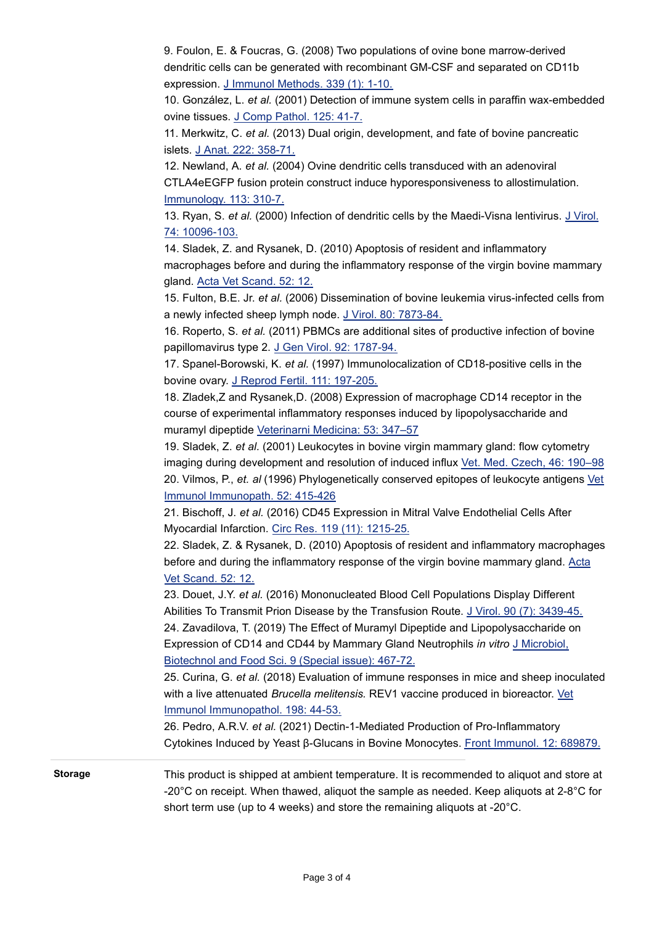9. Foulon, E. & Foucras, G. (2008) Two populations of ovine bone marrow-derived dendritic cells can be generated with recombinant GM-CSF and separated on CD11b expression. [J Immunol Methods. 339 \(1\): 1-10.](http://www.ncbi.nlm.nih.gov/pubmed/18718839)

10. González, L. *et al.* (2001) Detection of immune system cells in paraffin wax-embedded ovine tissues. [J Comp Pathol. 125: 41-7.](http://www.ncbi.nlm.nih.gov/pubmed/11437515)

11. Merkwitz, C. *et al.* (2013) Dual origin, development, and fate of bovine pancreatic islets. [J Anat. 222: 358-71.](http://www.ncbi.nlm.nih.gov/pubmed/23171225)

12. Newland, A. *et al.* (2004) Ovine dendritic cells transduced with an adenoviral

CTLA4eEGFP fusion protein construct induce hyporesponsiveness to allostimulation. [Immunology. 113: 310-7.](http://www.ncbi.nlm.nih.gov/pubmed/15500617)

13. Ryan, S. *et al.* (2000) Infection of dendritic cells by the Maedi-Visna lentivirus. [J Virol.](http://www.ncbi.nlm.nih.gov/pubmed/11024138) 74: 10096-103.

14. Sladek, Z. and Rysanek, D. (2010) Apoptosis of resident and inflammatory macrophages before and during the inflammatory response of the virgin bovine mammary gland. [Acta Vet Scand. 52: 12.](http://www.ncbi.nlm.nih.gov/pubmed/20144206)

15. Fulton, B.E. Jr. *et al.* (2006) Dissemination of bovine leukemia virus-infected cells from a newly infected sheep lymph node. [J Virol. 80: 7873-84.](http://www.ncbi.nlm.nih.gov/pubmed/16873244)

16. Roperto, S. *et al.* (2011) PBMCs are additional sites of productive infection of bovine papillomavirus type 2. [J Gen Virol. 92: 1787-94.](http://www.ncbi.nlm.nih.gov/pubmed/21525209)

17. Spanel-Borowski, K. *et al.* (1997) Immunolocalization of CD18-positive cells in the bovine ovary. [J Reprod Fertil. 111: 197-205.](http://www.ncbi.nlm.nih.gov/pubmed/9462286)

18. Zladek,Z and Rysanek,D. (2008) Expression of macrophage CD14 receptor in the course of experimental inflammatory responses induced by lipopolysaccharide and muramyl dipeptide [Veterinarni Medicina: 53: 347–57](http://www.vri.cz/docs/vetmed/53-7-347.pdf)

19. Sladek, Z. *et al.* (2001) Leukocytes in bovine virgin mammary gland: flow cytometry imaging during development and resolution of induced influx [Vet. Med. Czech, 46: 190–98](http://vri.cz/docs/vetmed/46-8-190.pdf) 20. Vilmos, P., *et. al* (1996) Phylogenetically conserved epitopes of leukocyte antigens [Vet](http://www.ncbi.nlm.nih.gov/pubmed/8896233) Immunol Immunopath. 52: 415-426

21. Bischoff, J. *et al.* (2016) CD45 Expression in Mitral Valve Endothelial Cells After Myocardial Infarction. [Circ Res. 119 \(11\): 1215-25.](http://www.ncbi.nlm.nih.gov/pubmed/27750208)

22. Sladek, Z. & Rysanek, D. (2010) Apoptosis of resident and inflammatory macrophages before and during the inflammatory response of the virgin bovine mammary gland. [Acta](http://www.ncbi.nlm.nih.gov/pubmed/20144206) Vet Scand. 52: 12.

23. Douet, J.Y. *et al.* (2016) Mononucleated Blood Cell Populations Display Different Abilities To Transmit Prion Disease by the Transfusion Route. [J Virol. 90 \(7\): 3439-45.](http://www.ncbi.nlm.nih.gov/pubmed/26764000) 24. Zavadilova, T. (2019) The Effect of Muramyl Dipeptide and Lipopolysaccharide on Expression of CD14 and CD44 by Mammary Gland Neutrophils *in vitro* [J Microbiol,](http://dx.doi.org/10.15414/jmbfs.2019.9.special.467-472) Biotechnol and Food Sci. 9 (Special issue): 467-72.

25. Curina, G. *et al.* (2018) Evaluation of immune responses in mice and sheep inoculated with a live attenuated *Brucella melitensis.* REV1 vaccine produced in bioreactor. [Vet](http://www.ncbi.nlm.nih.gov/pubmed/29571517) Immunol Immunopathol. 198: 44-53.

26. Pedro, A.R.V. *et al.* (2021) Dectin-1-Mediated Production of Pro-Inflammatory Cytokines Induced by Yeast β-Glucans in Bovine Monocytes. [Front Immunol. 12: 689879.](http://www.ncbi.nlm.nih.gov/pubmed/34122455)

**Storage** This product is shipped at ambient temperature. It is recommended to aliquot and store at -20 $\degree$ C on receipt. When thawed, aliquot the sample as needed. Keep aliquots at 2-8 $\degree$ C for short term use (up to 4 weeks) and store the remaining aliquots at -20°C.